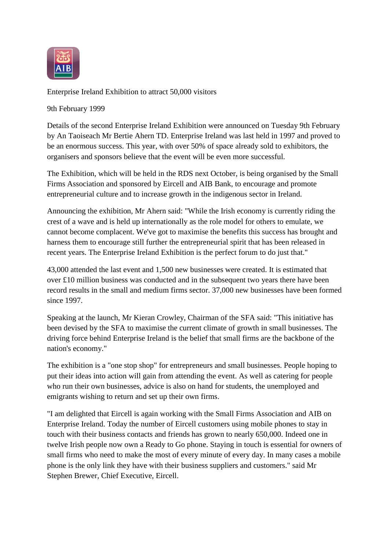

Enterprise Ireland Exhibition to attract 50,000 visitors

9th February 1999

Details of the second Enterprise Ireland Exhibition were announced on Tuesday 9th February by An Taoiseach Mr Bertie Ahern TD. Enterprise Ireland was last held in 1997 and proved to be an enormous success. This year, with over 50% of space already sold to exhibitors, the organisers and sponsors believe that the event will be even more successful.

The Exhibition, which will be held in the RDS next October, is being organised by the Small Firms Association and sponsored by Eircell and AIB Bank, to encourage and promote entrepreneurial culture and to increase growth in the indigenous sector in Ireland.

Announcing the exhibition, Mr Ahern said: "While the Irish economy is currently riding the crest of a wave and is held up internationally as the role model for others to emulate, we cannot become complacent. We've got to maximise the benefits this success has brought and harness them to encourage still further the entrepreneurial spirit that has been released in recent years. The Enterprise Ireland Exhibition is the perfect forum to do just that."

43,000 attended the last event and 1,500 new businesses were created. It is estimated that over £10 million business was conducted and in the subsequent two years there have been record results in the small and medium firms sector. 37,000 new businesses have been formed since 1997.

Speaking at the launch, Mr Kieran Crowley, Chairman of the SFA said: "This initiative has been devised by the SFA to maximise the current climate of growth in small businesses. The driving force behind Enterprise Ireland is the belief that small firms are the backbone of the nation's economy."

The exhibition is a "one stop shop" for entrepreneurs and small businesses. People hoping to put their ideas into action will gain from attending the event. As well as catering for people who run their own businesses, advice is also on hand for students, the unemployed and emigrants wishing to return and set up their own firms.

"I am delighted that Eircell is again working with the Small Firms Association and AIB on Enterprise Ireland. Today the number of Eircell customers using mobile phones to stay in touch with their business contacts and friends has grown to nearly 650,000. Indeed one in twelve Irish people now own a Ready to Go phone. Staying in touch is essential for owners of small firms who need to make the most of every minute of every day. In many cases a mobile phone is the only link they have with their business suppliers and customers." said Mr Stephen Brewer, Chief Executive, Eircell.